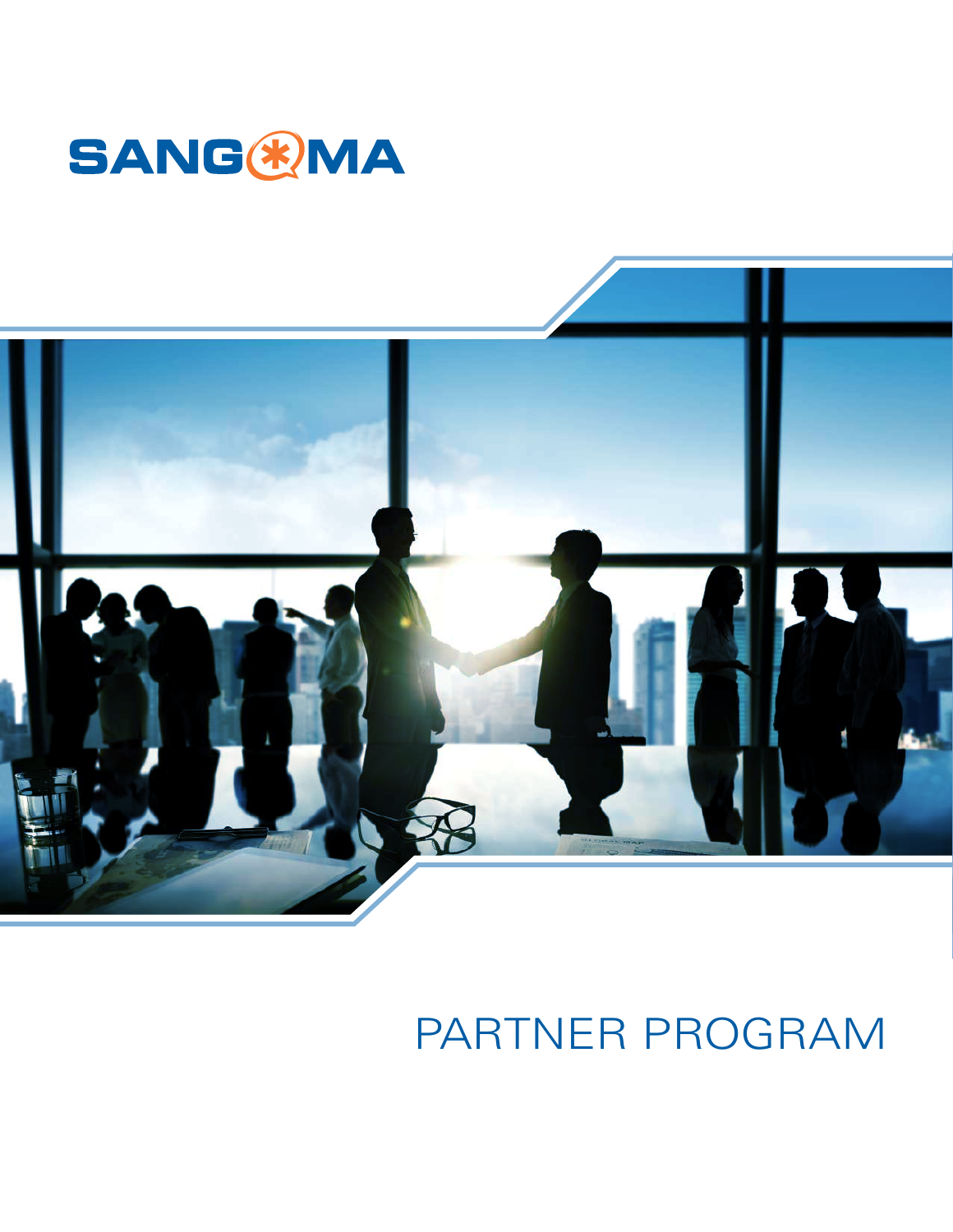



# PARTNER PROGRAM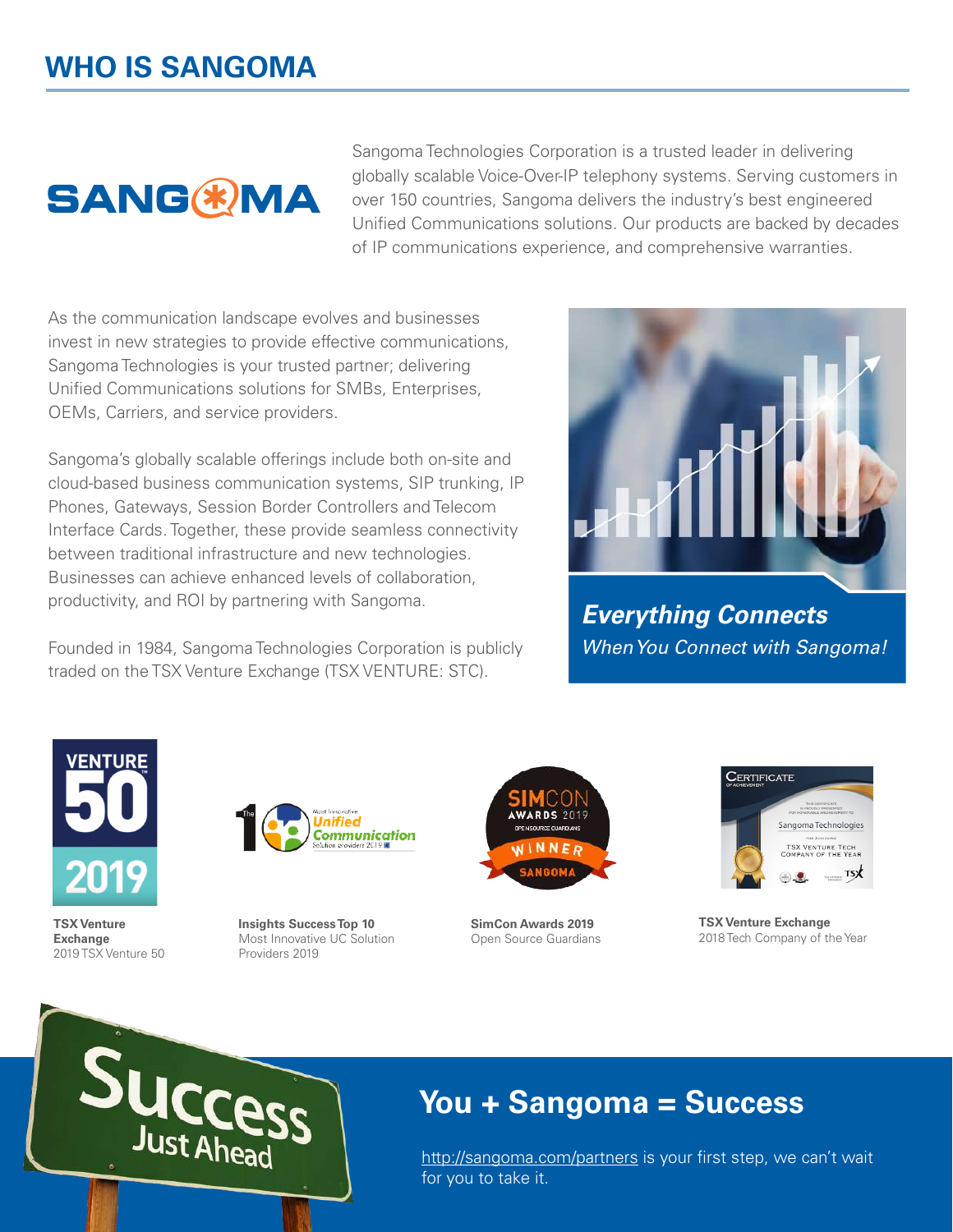## **WHO IS SANGOMA**

# **SANG & MA**

Sangoma Technologies Corporation is a trusted leader in delivering globally scalable Voice-Over-IP telephony systems. Serving customers in over 150 countries, Sangoma delivers the industry's best engineered Unified Communications solutions. Our products are backed by decades of IP communications experience, and comprehensive warranties.

As the communication landscape evolves and businesses invest in new strategies to provide effective communications, Sangoma Technologies is your trusted partner; delivering Unified Communications solutions for SMBs, Enterprises, OEMs, Carriers, and service providers.

Sangoma's globally scalable offerings include both on-site and cloud-based business communication systems, SIP trunking, IP Phones, Gateways, Session Border Controllers and Telecom Interface Cards. Together, these provide seamless connectivity between traditional infrastructure and new technologies. Businesses can achieve enhanced levels of collaboration, productivity, and ROI by partnering with Sangoma.

Founded in 1984, Sangoma Technologies Corporation is publicly traded on the TSX Venture Exchange (TSX VENTURE: STC).



**Everything Connects**  *When You Connect with Sangoma!*



**TSX Venture Exchange** 2019 TSX Venture 50



**Insights Success Top 10** Most Innovative UC Solution Providers 2019



**SimCon Awards 2019** Open Source Guardians



**TSX Venture Exchange** 2018 Tech Company of the Year



## **You + Sangoma = Success**

http://sangoma.com/partners is your first step, we can't wait for you to take it.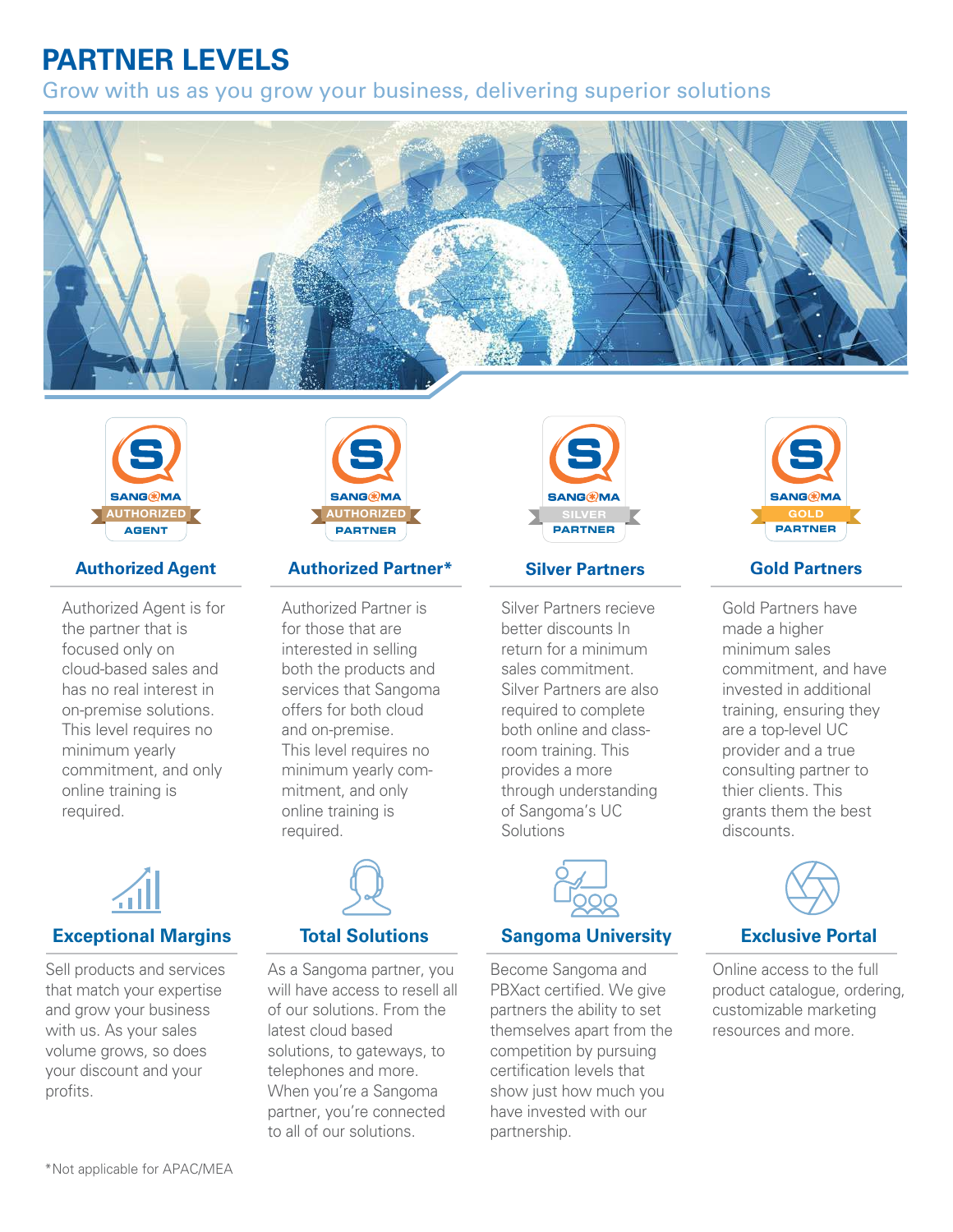## **PARTNER LEVELS**

Grow with us as you grow your business, delivering superior solutions





#### **Authorized Agent**

Authorized Agent is for the partner that is focused only on cloud-based sales and has no real interest in on-premise solutions. This level requires no minimum yearly commitment, and only online training is required.



## **Exceptional Margins**

Sell products and services that match your expertise and grow your business with us. As your sales volume grows, so does your discount and your profits.



#### **Authorized Partner\***

Authorized Partner is for those that are interested in selling both the products and services that Sangoma offers for both cloud and on-premise. This level requires no minimum yearly commitment, and only online training is required.

**Total Solutions**

As a Sangoma partner, you will have access to resell all of our solutions. From the

solutions, to gateways, to telephones and more. When you're a Sangoma partner, you're connected to all of our solutions.

latest cloud based



#### **Silver Partners**

Silver Partners recieve better discounts In return for a minimum sales commitment. Silver Partners are also required to complete both online and classroom training. This provides a more through understanding of Sangoma's UC Solutions



### **Sangoma University**

Become Sangoma and PBXact certified. We give partners the ability to set themselves apart from the competition by pursuing certification levels that show just how much you have invested with our partnership.



#### **Gold Partners**

Gold Partners have made a higher minimum sales commitment, and have invested in additional training, ensuring they are a top-level UC provider and a true consulting partner to thier clients. This grants them the best discounts.



#### **Exclusive Portal**

Online access to the full product catalogue, ordering, customizable marketing resources and more.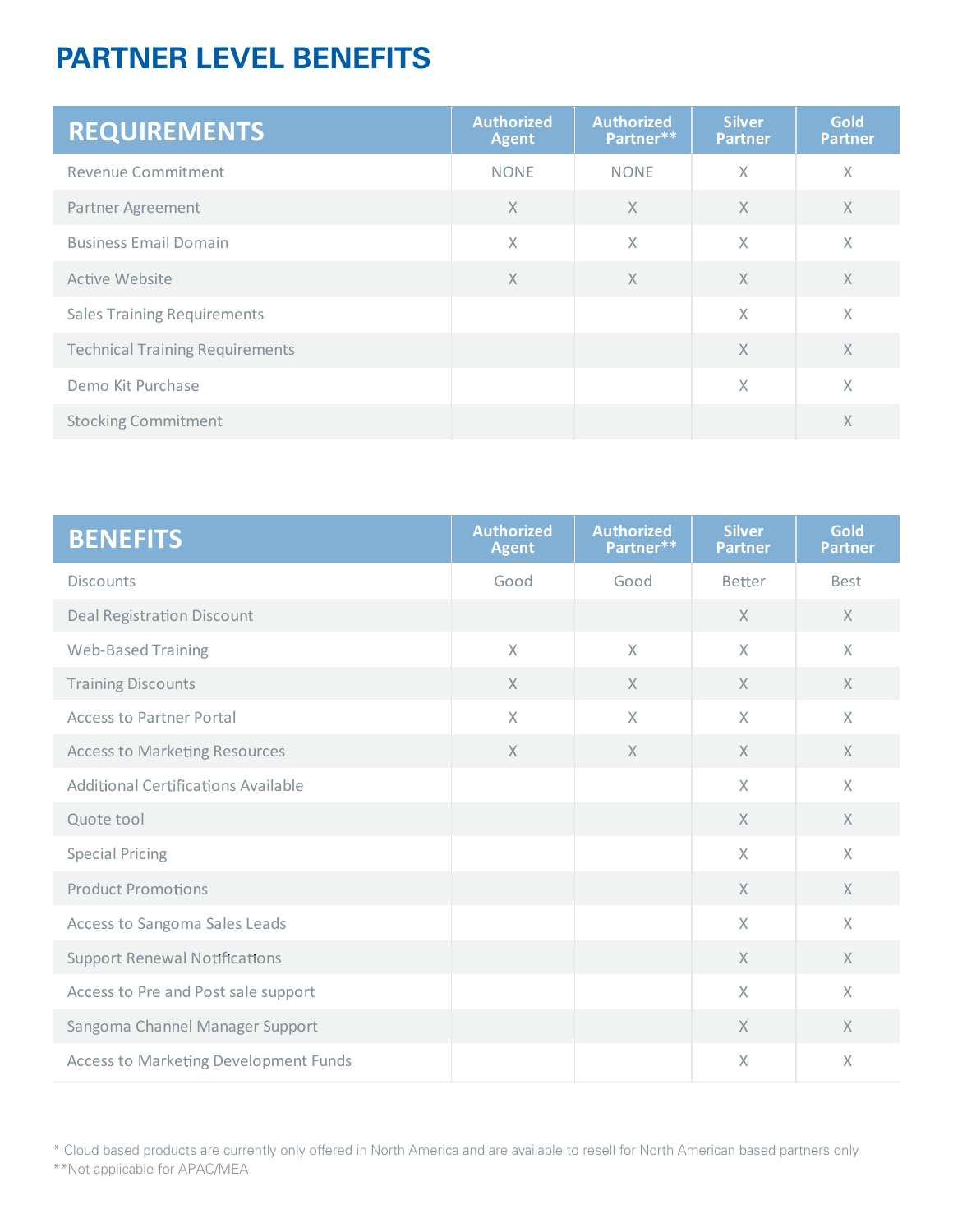## **PARTNER LEVEL BENEFITS**

| <b>REQUIREMENTS</b>                    | <b>Authorized</b><br><b>Agent</b> | <b>Authorized</b><br>Partner** | <b>Silver</b><br><b>Partner</b> | <b>Gold</b><br><b>Partner</b> |
|----------------------------------------|-----------------------------------|--------------------------------|---------------------------------|-------------------------------|
| Revenue Commitment                     | <b>NONE</b>                       | <b>NONE</b>                    | X                               | X                             |
| Partner Agreement                      | $\mathsf X$                       | $\times$                       | $\times$                        | $\times$                      |
| <b>Business Email Domain</b>           | X                                 | $\times$                       | X                               | $\times$                      |
| <b>Active Website</b>                  | $\times$                          | $\times$                       | $\times$                        | $\times$                      |
| <b>Sales Training Requirements</b>     |                                   |                                | X                               | $\times$                      |
| <b>Technical Training Requirements</b> |                                   |                                | X                               | $\times$                      |
| Demo Kit Purchase                      |                                   |                                | X                               | $\times$                      |
| <b>Stocking Commitment</b>             |                                   |                                |                                 | X                             |

| <b>BENEFITS</b>                              | <b>Authorized</b><br><b>Agent</b> | <b>Authorized</b><br>Partner** | <b>Silver</b><br><b>Partner</b> | <b>Gold</b><br><b>Partner</b> |
|----------------------------------------------|-----------------------------------|--------------------------------|---------------------------------|-------------------------------|
| <b>Discounts</b>                             | Good                              | Good                           | <b>Better</b>                   | <b>Best</b>                   |
| <b>Deal Registration Discount</b>            |                                   |                                | $\times$                        | X                             |
| <b>Web-Based Training</b>                    | $\overline{\chi}$                 | $\times$                       | $\times$                        | $\times$                      |
| <b>Training Discounts</b>                    | $\times$                          | $\times$                       | $\times$                        | $\times$                      |
| <b>Access to Partner Portal</b>              | $\times$                          | $\times$                       | $\times$                        | $\times$                      |
| <b>Access to Marketing Resources</b>         | $\times$                          | $\times$                       | $\times$                        | $\times$                      |
| <b>Additional Certifications Available</b>   |                                   |                                | $\times$                        | $\times$                      |
| Quote tool                                   |                                   |                                | $\times$                        | $\times$                      |
| <b>Special Pricing</b>                       |                                   |                                | $\times$                        | $\times$                      |
| <b>Product Promotions</b>                    |                                   |                                | $\times$                        | $\times$                      |
| Access to Sangoma Sales Leads                |                                   |                                | $\overline{X}$                  | $\times$                      |
| <b>Support Renewal Notifications</b>         |                                   |                                | $\times$                        | $\times$                      |
| Access to Pre and Post sale support          |                                   |                                | $\times$                        | $\times$                      |
| Sangoma Channel Manager Support              |                                   |                                | $\times$                        | $\times$                      |
| <b>Access to Marketing Development Funds</b> |                                   |                                | $\chi$                          | $\times$                      |

\* Cloud based products are currently only offered in North America and are available to resell for North American based partners only \*\*Not applicable for APAC/MEA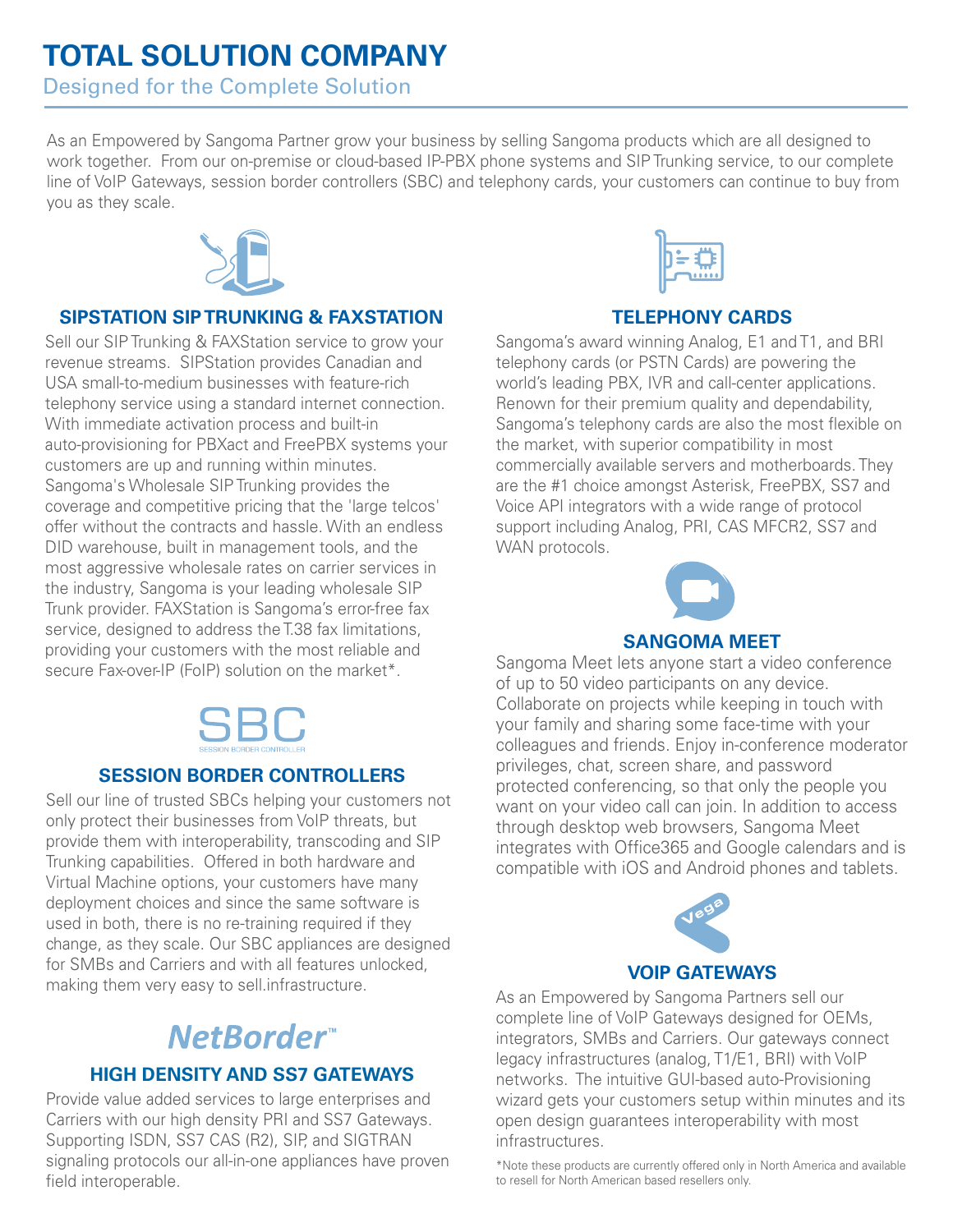# **TOTAL SOLUTION COMPANY**

Designed for the Complete Solution

As an Empowered by Sangoma Partner grow your business by selling Sangoma products which are all designed to work together. From our on-premise or cloud-based IP-PBX phone systems and SIP Trunking service, to our complete line of VoIP Gateways, session border controllers (SBC) and telephony cards, your customers can continue to buy from you as they scale.



#### **SIPSTATION SIP TRUNKING & FAXSTATION**

Sell our SIP Trunking & FAXStation service to grow your revenue streams. SIPStation provides Canadian and USA small-to-medium businesses with feature-rich telephony service using a standard internet connection. With immediate activation process and built-in auto-provisioning for PBXact and FreePBX systems your customers are up and running within minutes. Sangoma's Wholesale SIP Trunking provides the coverage and competitive pricing that the 'large telcos' offer without the contracts and hassle. With an endless DID warehouse, built in management tools, and the most aggressive wholesale rates on carrier services in the industry, Sangoma is your leading wholesale SIP Trunk provider. FAXStation is Sangoma's error-free fax service, designed to address the T.38 fax limitations, providing your customers with the most reliable and secure Fax-over-IP (FoIP) solution on the market\*.



#### **SESSION BORDER CONTROLLERS**

Sell our line of trusted SBCs helping your customers not only protect their businesses from VoIP threats, but provide them with interoperability, transcoding and SIP Trunking capabilities. Offered in both hardware and Virtual Machine options, your customers have many deployment choices and since the same software is used in both, there is no re-training required if they change, as they scale. Our SBC appliances are designed for SMBs and Carriers and with all features unlocked, Tor Sivilis and Carriers and With all teatures unlocked, **VOIP GATEWAYS**<br>making them very easy to sell.infrastructure.

## NetBorder<sup>™</sup>

#### **HIGH DENSITY AND SS7 GATEWAYS**

Provide value added services to large enterprises and Carriers with our high density PRI and SS7 Gateways. Supporting ISDN, SS7 CAS (R2), SIP, and SIGTRAN signaling protocols our all-in-one appliances have proven field interoperable.



#### **TELEPHONY CARDS**

Sangoma's award winning Analog, E1 and T1, and BRI telephony cards (or PSTN Cards) are powering the world's leading PBX, IVR and call-center applications. Renown for their premium quality and dependability, Sangoma's telephony cards are also the most flexible on the market, with superior compatibility in most commercially available servers and motherboards. They are the #1 choice amongst Asterisk, FreePBX, SS7 and Voice API integrators with a wide range of protocol support including Analog, PRI, CAS MFCR2, SS7 and WAN protocols.



### **SANGOMA MEET**

Sangoma Meet lets anyone start a video conference of up to 50 video participants on any device. Collaborate on projects while keeping in touch with your family and sharing some face-time with your colleagues and friends. Enjoy in-conference moderator privileges, chat, screen share, and password protected conferencing, so that only the people you want on your video call can join. In addition to access through desktop web browsers, Sangoma Meet integrates with Office365 and Google calendars and is compatible with iOS and Android phones and tablets.



As an Empowered by Sangoma Partners sell our complete line of VoIP Gateways designed for OEMs, integrators, SMBs and Carriers. Our gateways connect legacy infrastructures (analog, T1/E1, BRI) with VoIP networks. The intuitive GUI-based auto-Provisioning wizard gets your customers setup within minutes and its open design guarantees interoperability with most infrastructures.

\*Note these products are currently offered only in North America and available to resell for North American based resellers only.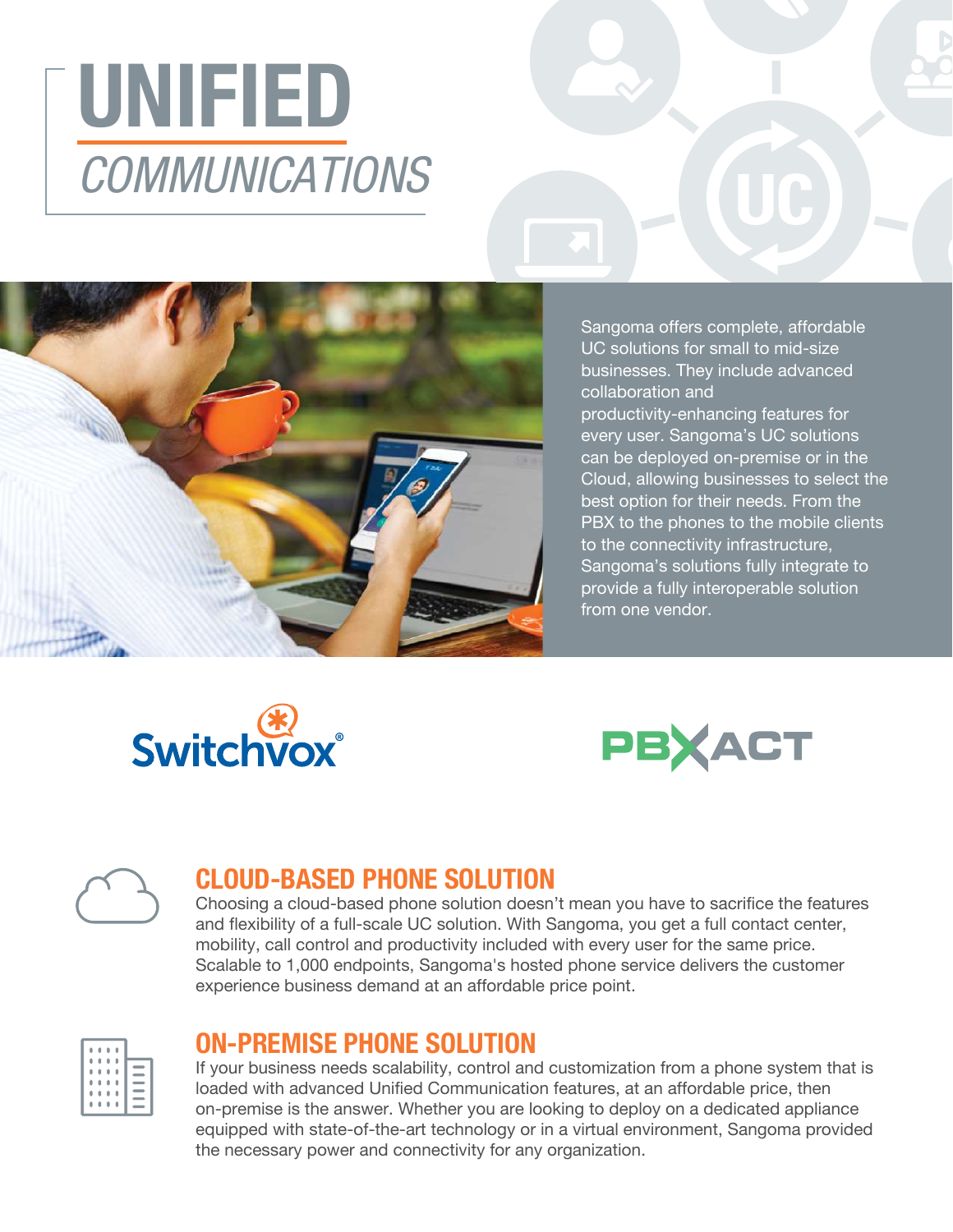



Sangoma offers complete, affordable UC solutions for small to mid-size businesses. They include advanced collaboration and productivity-enhancing features for every user. Sangoma's UC solutions can be deployed on-premise or in the Cloud, allowing businesses to select the best option for their needs. From the PBX to the phones to the mobile clients to the connectivity infrastructure, Sangoma's solutions fully integrate to provide a fully interoperable solution from one vendor.







## **CLOUD-BASED PHONE SOLUTION**

Choosing a cloud-based phone solution doesn't mean you have to sacrifice the features and flexibility of a full-scale UC solution. With Sangoma, you get a full contact center, mobility, call control and productivity included with every user for the same price. Scalable to 1,000 endpoints, Sangoma's hosted phone service delivers the customer experience business demand at an affordable price point.



## **ON-PREMISE PHONE SOLUTION**

If your business needs scalability, control and customization from a phone system that is loaded with advanced Unified Communication features, at an affordable price, then on-premise is the answer. Whether you are looking to deploy on a dedicated appliance equipped with state-of-the-art technology or in a virtual environment, Sangoma provided the necessary power and connectivity for any organization.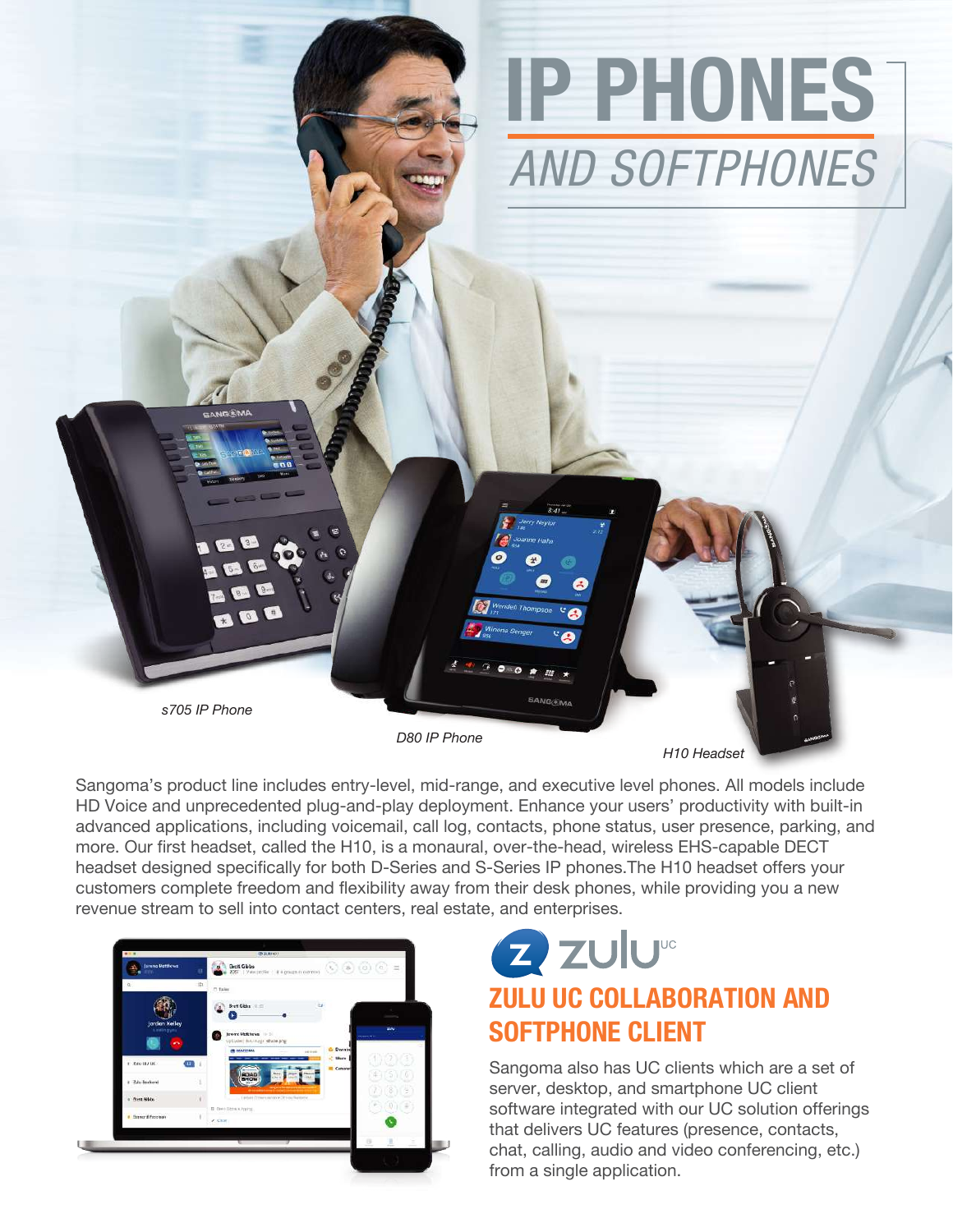

*H10 Headset*

Sangoma's product line includes entry-level, mid-range, and executive level phones. All models include HD Voice and unprecedented plug-and-play deployment. Enhance your users' productivity with built-in advanced applications, including voicemail, call log, contacts, phone status, user presence, parking, and more. Our first headset, called the H10, is a monaural, over-the-head, wireless EHS-capable DECT headset designed specifically for both D-Series and S-Series IP phones.The H10 headset offers your customers complete freedom and flexibility away from their desk phones, while providing you a new revenue stream to sell into contact centers, real estate, and enterprises.



## Z ZUU" **ZULU UC COLLABORATION AND SOFTPHONE CLIENT**

Sangoma also has UC clients which are a set of server, desktop, and smartphone UC client software integrated with our UC solution offerings that delivers UC features (presence, contacts, chat, calling, audio and video conferencing, etc.) from a single application.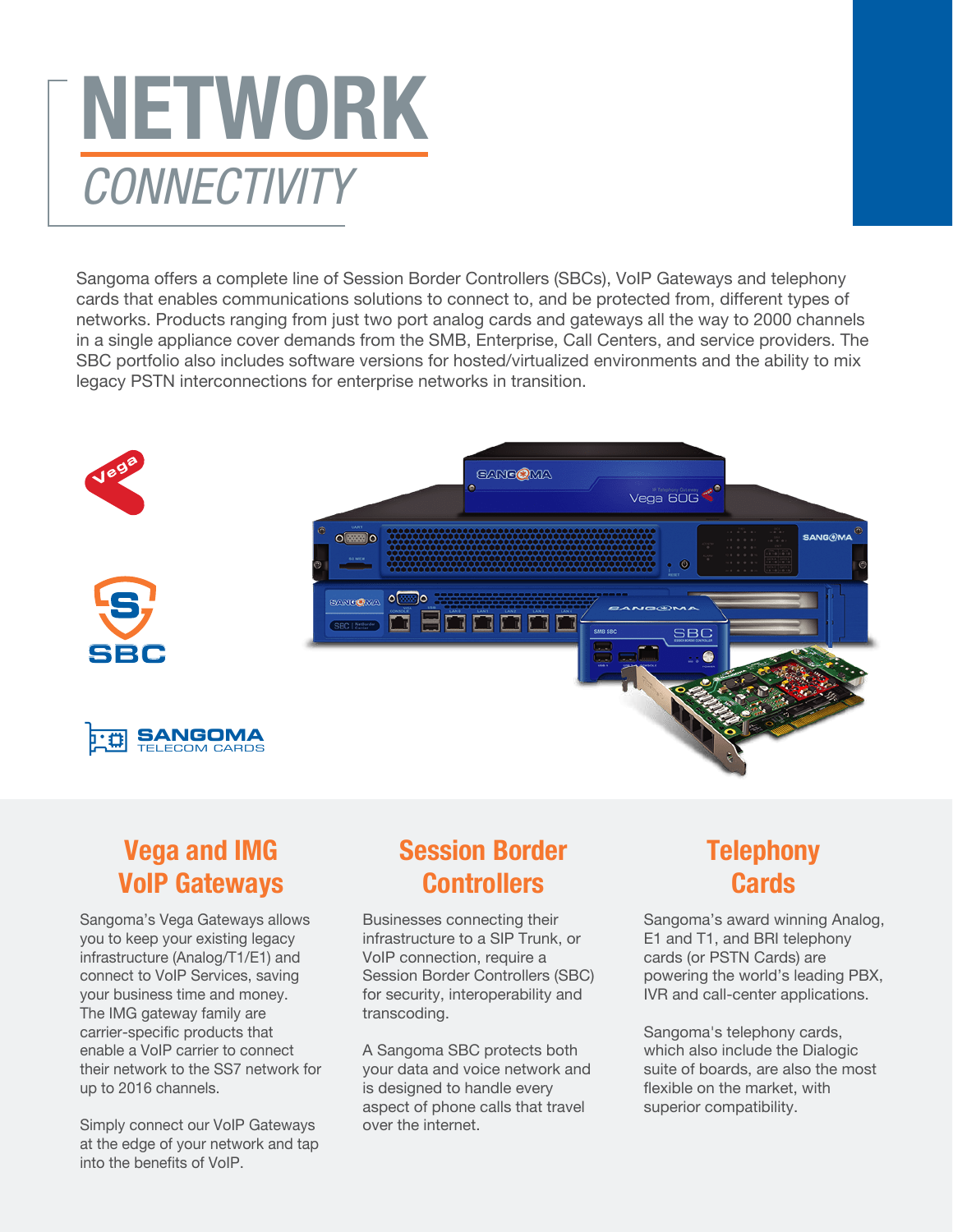

Sangoma offers a complete line of Session Border Controllers (SBCs), VoIP Gateways and telephony cards that enables communications solutions to connect to, and be protected from, different types of networks. Products ranging from just two port analog cards and gateways all the way to 2000 channels in a single appliance cover demands from the SMB, Enterprise, Call Centers, and service providers. The SBC portfolio also includes software versions for hosted/virtualized environments and the ability to mix legacy PSTN interconnections for enterprise networks in transition.



## **Vega and IMG VoIP Gateways**

Sangoma's Vega Gateways allows you to keep your existing legacy infrastructure (Analog/T1/E1) and connect to VoIP Services, saving your business time and money. The IMG gateway family are carrier-specific products that enable a VoIP carrier to connect their network to the SS7 network for up to 2016 channels.

Simply connect our VoIP Gateways at the edge of your network and tap into the benefits of VoIP.

## **Session Border Controllers**

Businesses connecting their infrastructure to a SIP Trunk, or VoIP connection, require a Session Border Controllers (SBC) for security, interoperability and transcoding.

A Sangoma SBC protects both your data and voice network and is designed to handle every aspect of phone calls that travel over the internet.

## **Telephony Cards**

Sangoma's award winning Analog, E1 and T1, and BRI telephony cards (or PSTN Cards) are powering the world's leading PBX, IVR and call-center applications.

Sangoma's telephony cards, which also include the Dialogic suite of boards, are also the most flexible on the market, with superior compatibility.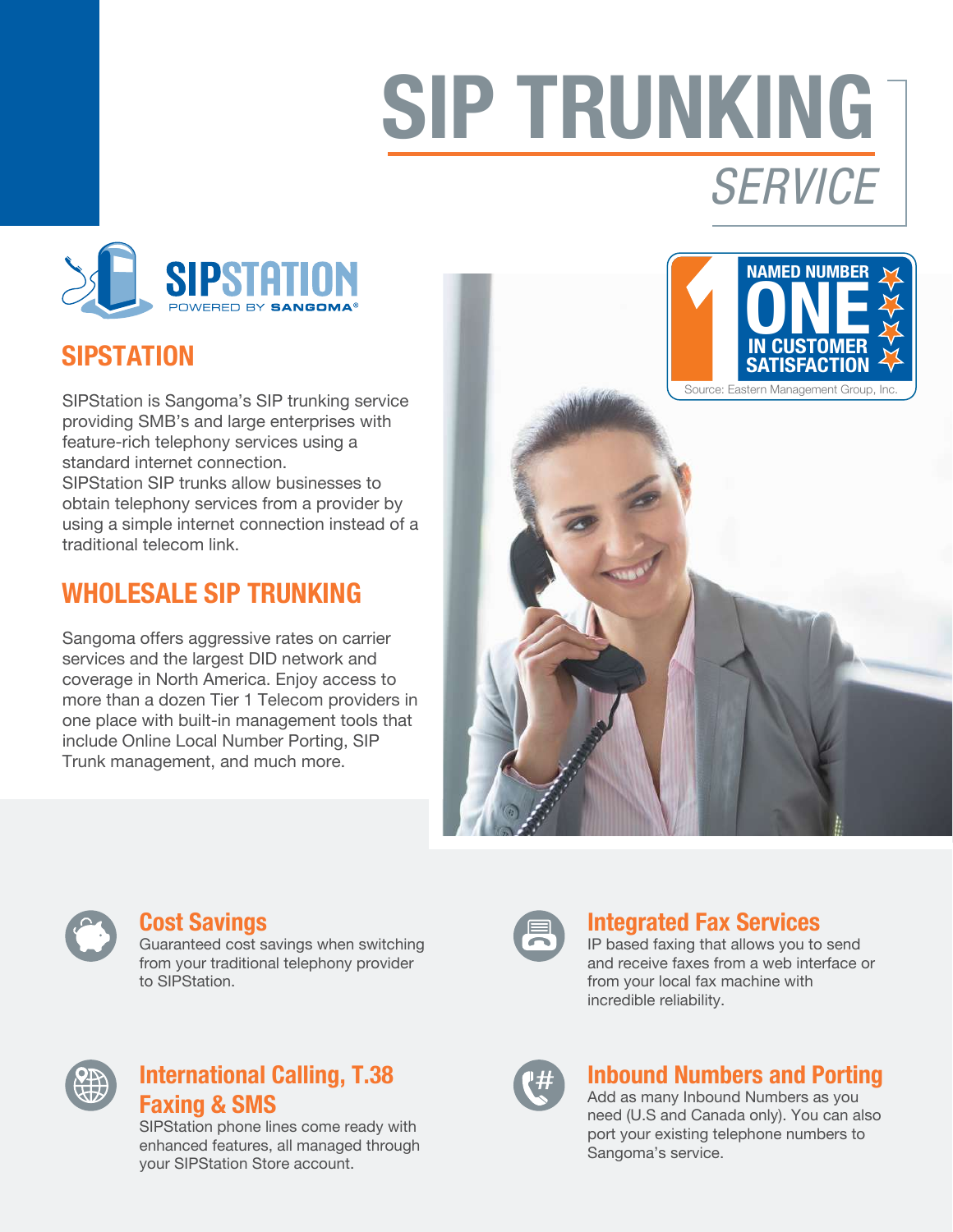# **SIP TRUNKING** *SERVICE*



## **SIPSTATION**

SIPStation is Sangoma's SIP trunking service providing SMB's and large enterprises with feature-rich telephony services using a standard internet connection.

SIPStation SIP trunks allow businesses to obtain telephony services from a provider by using a simple internet connection instead of a traditional telecom link.

## **WHOLESALE SIP TRUNKING**

Sangoma offers aggressive rates on carrier services and the largest DID network and coverage in North America. Enjoy access to more than a dozen Tier 1 Telecom providers in one place with built-in management tools that include Online Local Number Porting, SIP Trunk management, and much more.





## **Cost Savings**

Guaranteed cost savings when switching from your traditional telephony provider to SIPStation.



## **Integrated Fax Services**

IP based faxing that allows you to send and receive faxes from a web interface or from your local fax machine with incredible reliability.



## **International Calling, T.38 Faxing & SMS**

SIPStation phone lines come ready with enhanced features, all managed through your SIPStation Store account.



## **Inbound Numbers and Porting**

Add as many Inbound Numbers as you need (U.S and Canada only). You can also port your existing telephone numbers to Sangoma's service.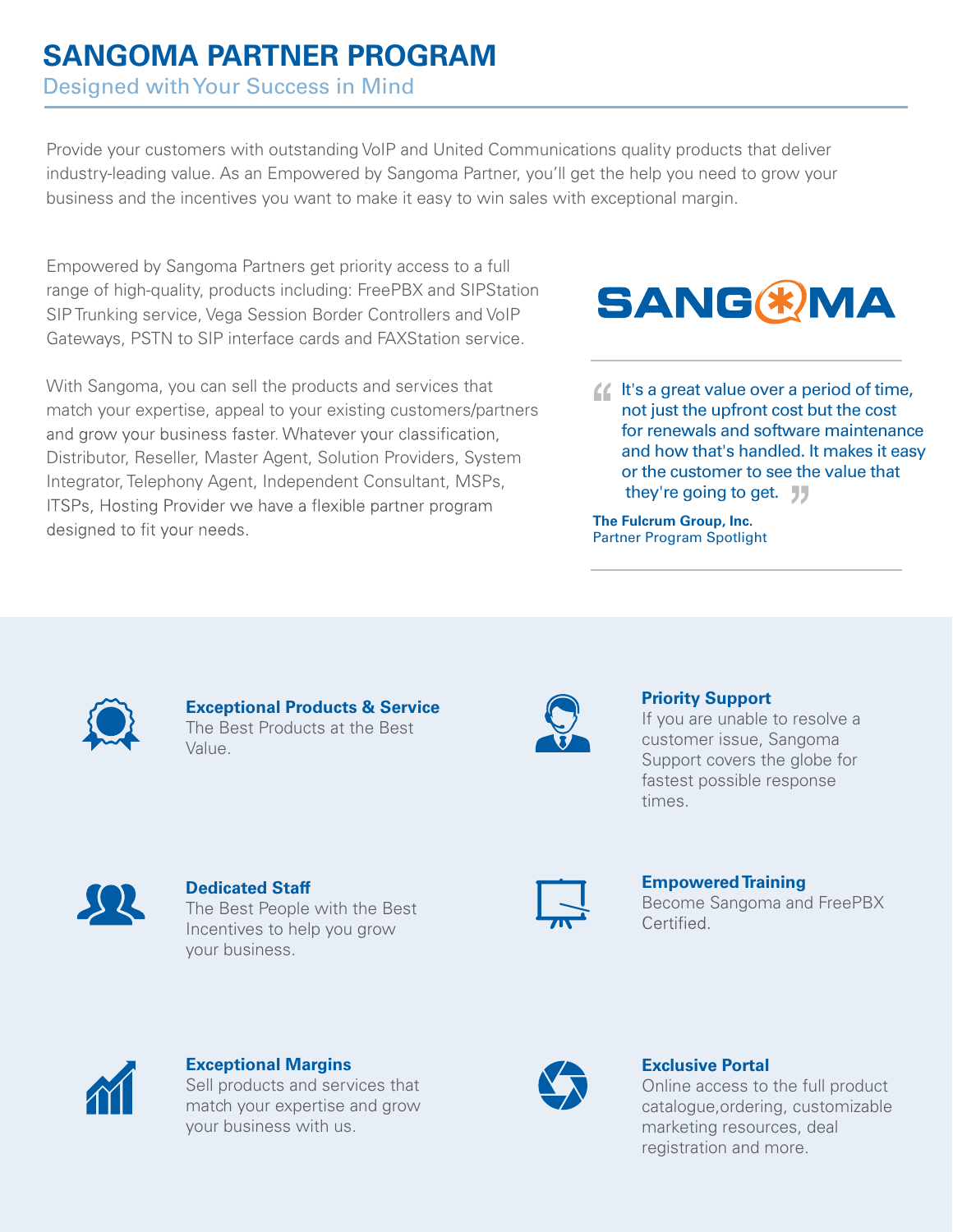## **SANGOMA PARTNER PROGRAM**

## Designed with Your Success in Mind

Provide your customers with outstanding VoIP and United Communications quality products that deliver industry-leading value. As an Empowered by Sangoma Partner, you'll get the help you need to grow your business and the incentives you want to make it easy to win sales with exceptional margin.

Empowered by Sangoma Partners get priority access to a full range of high-quality, products including: FreePBX and SIPStation SIP Trunking service, Vega Session Border Controllers and VoIP Gateways, PSTN to SIP interface cards and FAXStation service.

With Sangoma, you can sell the products and services that match your expertise, appeal to your existing customers/partners and grow your business faster. Whatever your classification, Distributor, Reseller, Master Agent, Solution Providers, System Integrator, Telephony Agent, Independent Consultant, MSPs, ITSPs, Hosting Provider we have a flexible partner program designed to fit your needs.

# **SANG®MA**

*I* It's a great value over a period of time, not just the upfront cost but the cost for renewals and software maintenance and how that's handled. It makes it easy or the customer to see the value that they're going to get. JJ

**The Fulcrum Group, Inc.** Partner Program Spotlight



#### **Exceptional Products & Service** The Best Products at the Best Value.



#### **Priority Support**

If you are unable to resolve a customer issue, Sangoma Support covers the globe for fastest possible response times.



#### **Dedicated Staff** The Best People with the Best Incentives to help you grow your business.



#### **EmpoweredTraining**

Become Sangoma and FreePBX Certified.



#### **Exceptional Margins**

Sell products and services that match your expertise and grow your business with us.



### **Exclusive Portal**

Online access to the full product catalogue,ordering, customizable marketing resources, deal registration and more.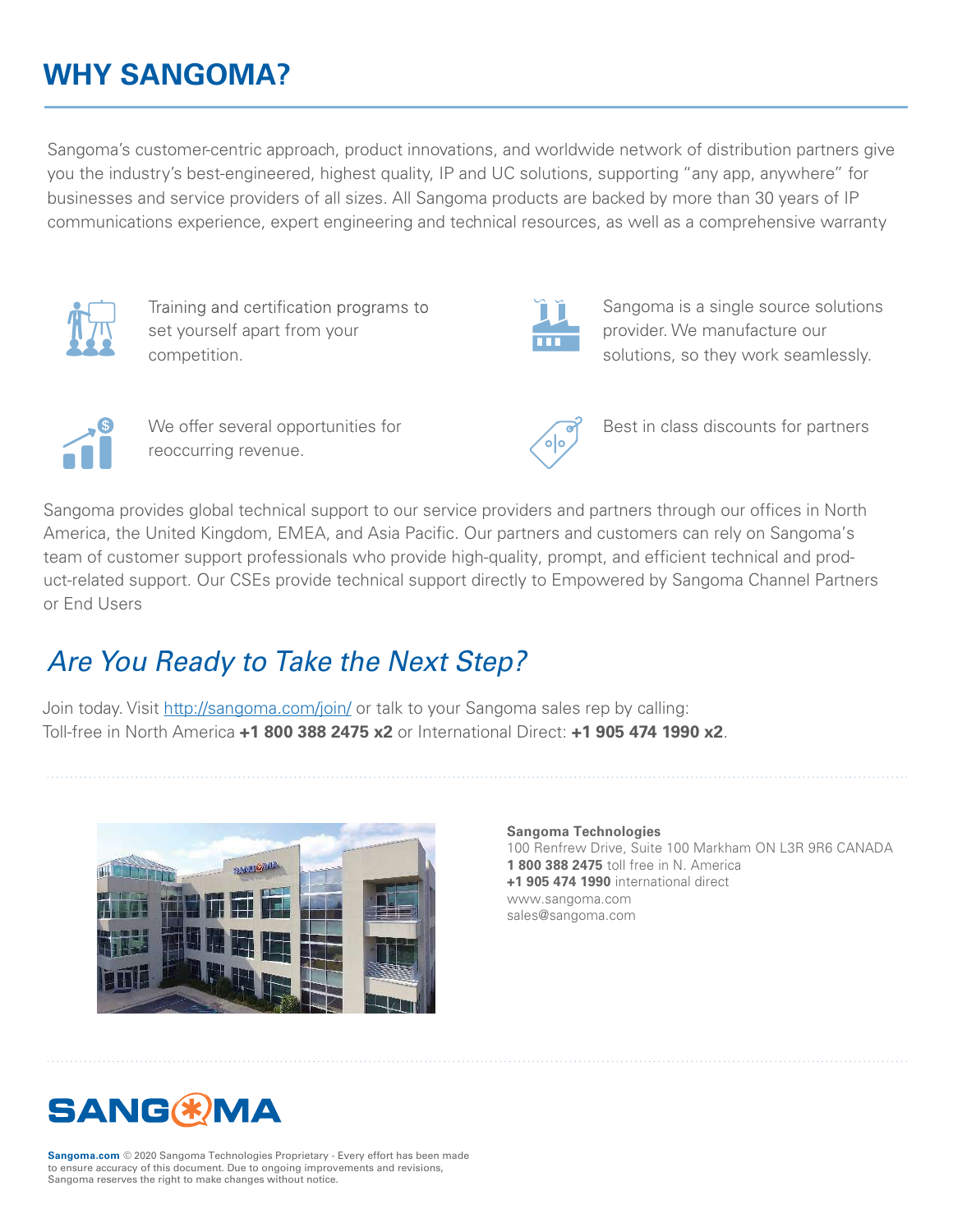## **WHY SANGOMA?**

Sangoma's customer-centric approach, product innovations, and worldwide network of distribution partners give you the industry's best-engineered, highest quality, IP and UC solutions, supporting "any app, anywhere" for businesses and service providers of all sizes. All Sangoma products are backed by more than 30 years of IP communications experience, expert engineering and technical resources, as well as a comprehensive warranty



Training and certification programs to set yourself apart from your competition.



Sangoma is a single source solutions provider. We manufacture our solutions, so they work seamlessly.



We offer several opportunities for reoccurring revenue.



Best in class discounts for partners

Sangoma provides global technical support to our service providers and partners through our offices in North America, the United Kingdom, EMEA, and Asia Pacific. Our partners and customers can rely on Sangoma's team of customer support professionals who provide high-quality, prompt, and efficient technical and product-related support. Our CSEs provide technical support directly to Empowered by Sangoma Channel Partners or End Users

## *Are You Ready to Take the Next Step?*

Join today. Visit http://sangoma.com/join/ or talk to your Sangoma sales rep by calling: Toll-free in North America **+1 800 388 2475 x2** or International Direct: **+1 905 474 1990 x2**.



**Sangoma Technologies** 100 Renfrew Drive, Suite 100 Markham ON L3R 9R6 CANADA **1 800 388 2475** toll free in N. America **+1 905 474 1990** international direct www.sangoma.com sales@sangoma.com



**Sangoma.com** © 2020 Sangoma Technologies Proprietary - Every effort has been made to ensure accuracy of this document. Due to ongoing improvements and revisions, Sangoma reserves the right to make changes without notice.